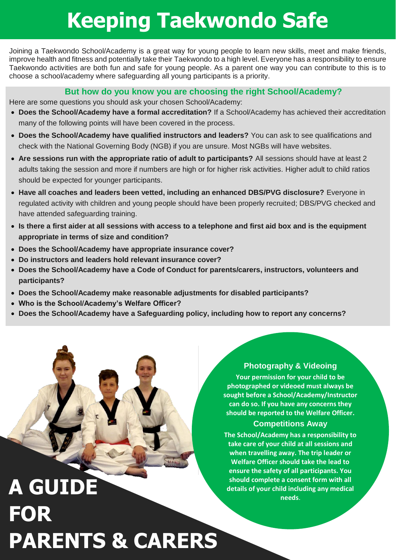## **Keeping Taekwondo Safe**

Joining a Taekwondo School/Academy is a great way for young people to learn new skills, meet and make friends, improve health and fitness and potentially take their Taekwondo to a high level. Everyone has a responsibility to ensure Taekwondo activities are both fun and safe for young people. As a parent one way you can contribute to this is to choose a school/academy where safeguarding all young participants is a priority.

#### **But how do you know you are choosing the right School/Academy?**

Here are some questions you should ask your chosen School/Academy:

- **Does the School/Academy have a formal accreditation?** If a School/Academy has achieved their accreditation many of the following points will have been covered in the process.
- **Does the School/Academy have qualified instructors and leaders?** You can ask to see qualifications and check with the National Governing Body (NGB) if you are unsure. Most NGBs will have websites.
- **Are sessions run with the appropriate ratio of adult to participants?** All sessions should have at least 2 adults taking the session and more if numbers are high or for higher risk activities. Higher adult to child ratios should be expected for younger participants.
- **Have all coaches and leaders been vetted, including an enhanced DBS/PVG disclosure?** Everyone in regulated activity with children and young people should have been properly recruited; DBS/PVG checked and have attended safeguarding training.
- **Is there a first aider at all sessions with access to a telephone and first aid box and is the equipment appropriate in terms of size and condition?**
- **Does the School/Academy have appropriate insurance cover?**
- **Do instructors and leaders hold relevant insurance cover?**
- **Does the School/Academy have a Code of Conduct for parents/carers, instructors, volunteers and participants?**
- **Does the School/Academy make reasonable adjustments for disabled participants?**
- **Who is the School/Academy's Welfare Officer?**
- **Does the School/Academy have a Safeguarding policy, including how to report any concerns?**

# **details of your child including any medical and the should complete a consent form with all details of your child including any medical FOR PARENTS & CARERS**

#### **Photography & Videoing**

**Your permission for your child to be photographed or videoed must always be sought before a School/Academy/Instructor can do so. If you have any concerns they should be reported to the Welfare Officer.**

#### **Competitions Away**

**The School/Academy has a responsibility to take care of your child at all sessions and when travelling away. The trip leader or Welfare Officer should take the lead to ensure the safety of all participants. You should complete a consent form with all needs**.